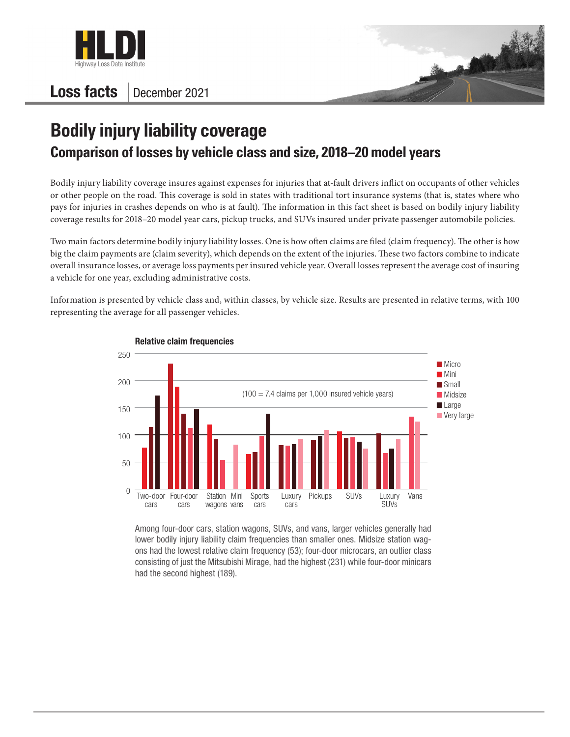

## Loss facts | December 2021



## **Bodily injury liability coverage Comparison of losses by vehicle class and size, 2018–20 model years**

Bodily injury liability coverage insures against expenses for injuries that at-fault drivers inflict on occupants of other vehicles or other people on the road. This coverage is sold in states with traditional tort insurance systems (that is, states where who pays for injuries in crashes depends on who is at fault). The information in this fact sheet is based on bodily injury liability coverage results for 2018–20 model year cars, pickup trucks, and SUVs insured under private passenger automobile policies.

Two main factors determine bodily injury liability losses. One is how often claims are filed (claim frequency). The other is how big the claim payments are (claim severity), which depends on the extent of the injuries. These two factors combine to indicate overall insurance losses, or average loss payments per insured vehicle year. Overall losses represent the average cost of insuring a vehicle for one year, excluding administrative costs.

Information is presented by vehicle class and, within classes, by vehicle size. Results are presented in relative terms, with 100 representing the average for all passenger vehicles.



Relative claim frequencies

Among four-door cars, station wagons, SUVs, and vans, larger vehicles generally had lower bodily injury liability claim frequencies than smaller ones. Midsize station wagons had the lowest relative claim frequency (53); four-door microcars, an outlier class consisting of just the Mitsubishi Mirage, had the highest (231) while four-door minicars had the second highest (189).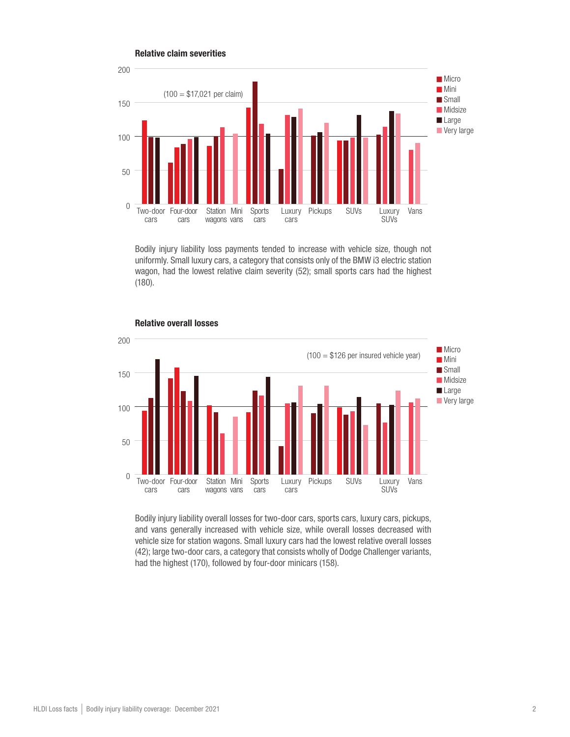

Bodily injury liability loss payments tended to increase with vehicle size, though not uniformly. Small luxury cars, a category that consists only of the BMW i3 electric station wagon, had the lowest relative claim severity (52); small sports cars had the highest (180).



Relative overall losses

Bodily injury liability overall losses for two-door cars, sports cars, luxury cars, pickups, and vans generally increased with vehicle size, while overall losses decreased with vehicle size for station wagons. Small luxury cars had the lowest relative overall losses (42); large two-door cars, a category that consists wholly of Dodge Challenger variants, had the highest (170), followed by four-door minicars (158).